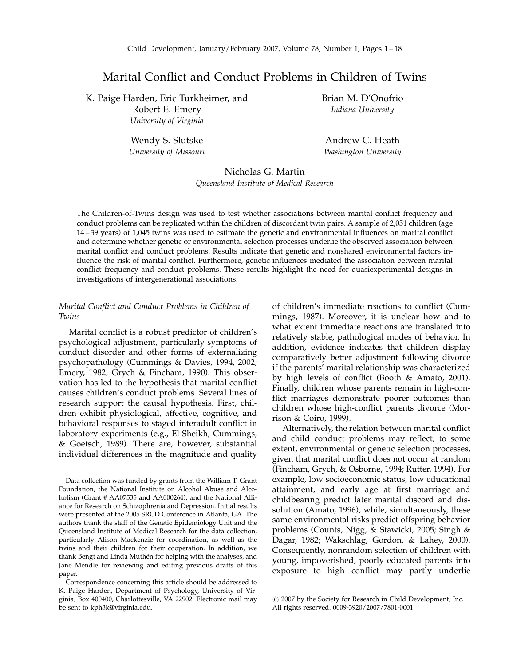# Marital Conflict and Conduct Problems in Children of Twins

K. Paige Harden, Eric Turkheimer, and

Robert E. Emery University of Virginia Brian M. D'Onofrio Indiana University

Wendy S. Slutske University of Missouri Andrew C. Heath Washington University

## Nicholas G. Martin Queensland Institute of Medical Research

The Children-of-Twins design was used to test whether associations between marital conflict frequency and conduct problems can be replicated within the children of discordant twin pairs. A sample of 2,051 children (age 14 – 39 years) of 1,045 twins was used to estimate the genetic and environmental influences on marital conflict and determine whether genetic or environmental selection processes underlie the observed association between marital conflict and conduct problems. Results indicate that genetic and nonshared environmental factors influence the risk of marital conflict. Furthermore, genetic influences mediated the association between marital conflict frequency and conduct problems. These results highlight the need for quasiexperimental designs in investigations of intergenerational associations.

## Marital Conflict and Conduct Problems in Children of Twins

Marital conflict is a robust predictor of children's psychological adjustment, particularly symptoms of conduct disorder and other forms of externalizing psychopathology (Cummings & Davies, 1994, 2002; Emery, 1982; Grych & Fincham, 1990). This observation has led to the hypothesis that marital conflict causes children's conduct problems. Several lines of research support the causal hypothesis. First, children exhibit physiological, affective, cognitive, and behavioral responses to staged interadult conflict in laboratory experiments (e.g., El-Sheikh, Cummings, & Goetsch, 1989). There are, however, substantial individual differences in the magnitude and quality of children's immediate reactions to conflict (Cummings, 1987). Moreover, it is unclear how and to what extent immediate reactions are translated into relatively stable, pathological modes of behavior. In addition, evidence indicates that children display comparatively better adjustment following divorce if the parents' marital relationship was characterized by high levels of conflict (Booth & Amato, 2001). Finally, children whose parents remain in high-conflict marriages demonstrate poorer outcomes than children whose high-conflict parents divorce (Morrison & Coiro, 1999).

Alternatively, the relation between marital conflict and child conduct problems may reflect, to some extent, environmental or genetic selection processes, given that marital conflict does not occur at random (Fincham, Grych, & Osborne, 1994; Rutter, 1994). For example, low socioeconomic status, low educational attainment, and early age at first marriage and childbearing predict later marital discord and dissolution (Amato, 1996), while, simultaneously, these same environmental risks predict offspring behavior problems (Counts, Nigg, & Stawicki, 2005; Singh & Dagar, 1982; Wakschlag, Gordon, & Lahey, 2000). Consequently, nonrandom selection of children with young, impoverished, poorly educated parents into exposure to high conflict may partly underlie

Data collection was funded by grants from the William T. Grant Foundation, the National Institute on Alcohol Abuse and Alcoholism (Grant # AA07535 and AA000264), and the National Alliance for Research on Schizophrenia and Depression. Initial results were presented at the 2005 SRCD Conference in Atlanta, GA. The authors thank the staff of the Genetic Epidemiology Unit and the Queensland Institute of Medical Research for the data collection, particularly Alison Mackenzie for coordination, as well as the twins and their children for their cooperation. In addition, we thank Bengt and Linda Muthén for helping with the analyses, and Jane Mendle for reviewing and editing previous drafts of this paper.

Correspondence concerning this article should be addressed to K. Paige Harden, Department of Psychology, University of Virginia, Box 400400, Charlottesville, VA 22902. Electronic mail may be sent to kph3k@virginia.edu.

 $\odot$  2007 by the Society for Research in Child Development, Inc. All rights reserved. 0009-3920/2007/7801-0001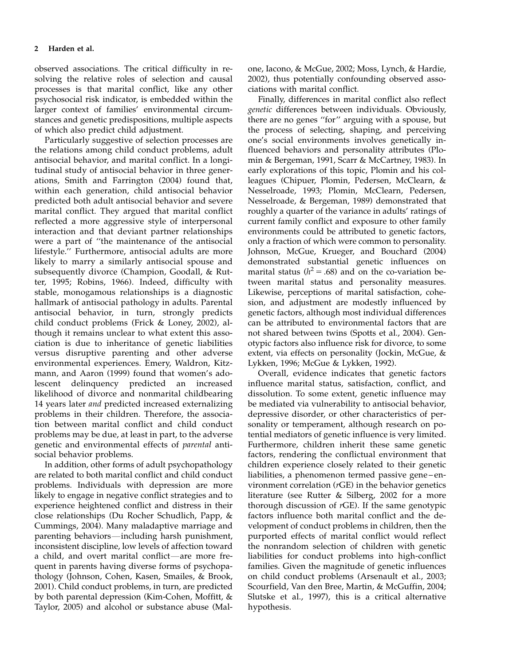observed associations. The critical difficulty in resolving the relative roles of selection and causal processes is that marital conflict, like any other psychosocial risk indicator, is embedded within the larger context of families' environmental circumstances and genetic predispositions, multiple aspects of which also predict child adjustment.

Particularly suggestive of selection processes are the relations among child conduct problems, adult antisocial behavior, and marital conflict. In a longitudinal study of antisocial behavior in three generations, Smith and Farrington (2004) found that, within each generation, child antisocial behavior predicted both adult antisocial behavior and severe marital conflict. They argued that marital conflict reflected a more aggressive style of interpersonal interaction and that deviant partner relationships were a part of ''the maintenance of the antisocial lifestyle.'' Furthermore, antisocial adults are more likely to marry a similarly antisocial spouse and subsequently divorce (Champion, Goodall, & Rutter, 1995; Robins, 1966). Indeed, difficulty with stable, monogamous relationships is a diagnostic hallmark of antisocial pathology in adults. Parental antisocial behavior, in turn, strongly predicts child conduct problems (Frick & Loney, 2002), although it remains unclear to what extent this association is due to inheritance of genetic liabilities versus disruptive parenting and other adverse environmental experiences. Emery, Waldron, Kitzmann, and Aaron (1999) found that women's adolescent delinquency predicted an increased likelihood of divorce and nonmarital childbearing 14 years later and predicted increased externalizing problems in their children. Therefore, the association between marital conflict and child conduct problems may be due, at least in part, to the adverse genetic and environmental effects of parental antisocial behavior problems.

In addition, other forms of adult psychopathology are related to both marital conflict and child conduct problems. Individuals with depression are more likely to engage in negative conflict strategies and to experience heightened conflict and distress in their close relationships (Du Rocher Schudlich, Papp, & Cummings, 2004). Many maladaptive marriage and parenting behaviors—including harsh punishment, inconsistent discipline, low levels of affection toward a child, and overt marital conflict—are more frequent in parents having diverse forms of psychopathology (Johnson, Cohen, Kasen, Smailes, & Brook, 2001). Child conduct problems, in turn, are predicted by both parental depression (Kim-Cohen, Moffitt, & Taylor, 2005) and alcohol or substance abuse (Malone, Iacono, & McGue, 2002; Moss, Lynch, & Hardie, 2002), thus potentially confounding observed associations with marital conflict.

Finally, differences in marital conflict also reflect genetic differences between individuals. Obviously, there are no genes ''for'' arguing with a spouse, but the process of selecting, shaping, and perceiving one's social environments involves genetically influenced behaviors and personality attributes (Plomin & Bergeman, 1991, Scarr & McCartney, 1983). In early explorations of this topic, Plomin and his colleagues (Chipuer, Plomin, Pedersen, McClearn, & Nesselroade, 1993; Plomin, McClearn, Pedersen, Nesselroade, & Bergeman, 1989) demonstrated that roughly a quarter of the variance in adults' ratings of current family conflict and exposure to other family environments could be attributed to genetic factors, only a fraction of which were common to personality. Johnson, McGue, Krueger, and Bouchard (2004) demonstrated substantial genetic influences on marital status ( $h^2 = .68$ ) and on the co-variation between marital status and personality measures. Likewise, perceptions of marital satisfaction, cohesion, and adjustment are modestly influenced by genetic factors, although most individual differences can be attributed to environmental factors that are not shared between twins (Spotts et al., 2004). Genotypic factors also influence risk for divorce, to some extent, via effects on personality (Jockin, McGue, & Lykken, 1996; McGue & Lykken, 1992).

Overall, evidence indicates that genetic factors influence marital status, satisfaction, conflict, and dissolution. To some extent, genetic influence may be mediated via vulnerability to antisocial behavior, depressive disorder, or other characteristics of personality or temperament, although research on potential mediators of genetic influence is very limited. Furthermore, children inherit these same genetic factors, rendering the conflictual environment that children experience closely related to their genetic liabilities, a phenomenon termed passive gene – environment correlation (rGE) in the behavior genetics literature (see Rutter & Silberg, 2002 for a more thorough discussion of  $rGE$ ). If the same genotypic factors influence both marital conflict and the development of conduct problems in children, then the purported effects of marital conflict would reflect the nonrandom selection of children with genetic liabilities for conduct problems into high-conflict families. Given the magnitude of genetic influences on child conduct problems (Arsenault et al., 2003; Scourfield, Van den Bree, Martin, & McGuffin, 2004; Slutske et al., 1997), this is a critical alternative hypothesis.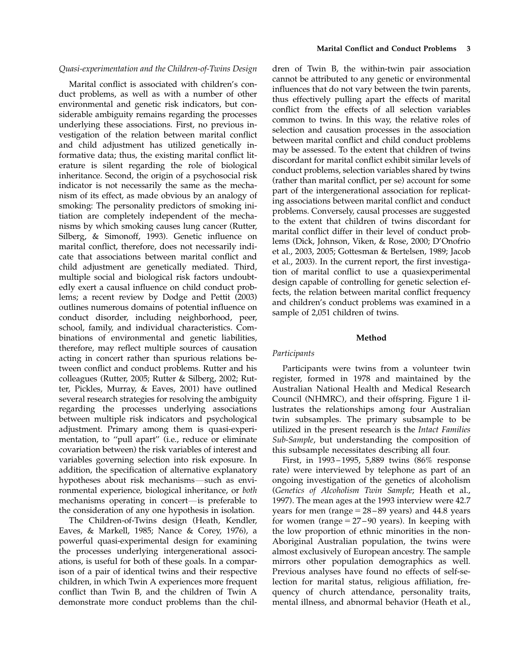### Quasi-experimentation and the Children-of-Twins Design

Marital conflict is associated with children's conduct problems, as well as with a number of other environmental and genetic risk indicators, but considerable ambiguity remains regarding the processes underlying these associations. First, no previous investigation of the relation between marital conflict and child adjustment has utilized genetically informative data; thus, the existing marital conflict literature is silent regarding the role of biological inheritance. Second, the origin of a psychosocial risk indicator is not necessarily the same as the mechanism of its effect, as made obvious by an analogy of smoking: The personality predictors of smoking initiation are completely independent of the mechanisms by which smoking causes lung cancer (Rutter, Silberg, & Simonoff, 1993). Genetic influence on marital conflict, therefore, does not necessarily indicate that associations between marital conflict and child adjustment are genetically mediated. Third, multiple social and biological risk factors undoubtedly exert a causal influence on child conduct problems; a recent review by Dodge and Pettit (2003) outlines numerous domains of potential influence on conduct disorder, including neighborhood, peer, school, family, and individual characteristics. Combinations of environmental and genetic liabilities, therefore, may reflect multiple sources of causation acting in concert rather than spurious relations between conflict and conduct problems. Rutter and his colleagues (Rutter, 2005; Rutter & Silberg, 2002; Rutter, Pickles, Murray, & Eaves, 2001) have outlined several research strategies for resolving the ambiguity regarding the processes underlying associations between multiple risk indicators and psychological adjustment. Primary among them is quasi-experimentation, to ''pull apart'' (i.e., reduce or eliminate covariation between) the risk variables of interest and variables governing selection into risk exposure. In addition, the specification of alternative explanatory hypotheses about risk mechanisms—such as environmental experience, biological inheritance, or both mechanisms operating in concert—is preferable to the consideration of any one hypothesis in isolation.

The Children-of-Twins design (Heath, Kendler, Eaves, & Markell, 1985; Nance & Corey, 1976), a powerful quasi-experimental design for examining the processes underlying intergenerational associations, is useful for both of these goals. In a comparison of a pair of identical twins and their respective children, in which Twin A experiences more frequent conflict than Twin B, and the children of Twin A demonstrate more conduct problems than the children of Twin B, the within-twin pair association cannot be attributed to any genetic or environmental influences that do not vary between the twin parents, thus effectively pulling apart the effects of marital conflict from the effects of all selection variables common to twins. In this way, the relative roles of selection and causation processes in the association between marital conflict and child conduct problems may be assessed. To the extent that children of twins discordant for marital conflict exhibit similar levels of conduct problems, selection variables shared by twins (rather than marital conflict, per se) account for some part of the intergenerational association for replicating associations between marital conflict and conduct problems. Conversely, causal processes are suggested to the extent that children of twins discordant for marital conflict differ in their level of conduct problems (Dick, Johnson, Viken, & Rose, 2000; D'Onofrio et al., 2003, 2005; Gottesman & Bertelsen, 1989; Jacob et al., 2003). In the current report, the first investigation of marital conflict to use a quasiexperimental design capable of controlling for genetic selection effects, the relation between marital conflict frequency and children's conduct problems was examined in a sample of 2,051 children of twins.

#### Method

## Participants

Participants were twins from a volunteer twin register, formed in 1978 and maintained by the Australian National Health and Medical Research Council (NHMRC), and their offspring. Figure 1 illustrates the relationships among four Australian twin subsamples. The primary subsample to be utilized in the present research is the Intact Families Sub-Sample, but understanding the composition of this subsample necessitates describing all four.

First, in 1993 – 1995, 5,889 twins (86% response rate) were interviewed by telephone as part of an ongoing investigation of the genetics of alcoholism (Genetics of Alcoholism Twin Sample; Heath et al., 1997). The mean ages at the 1993 interview were 42.7 years for men (range  $= 28 - 89$  years) and 44.8 years for women (range  $= 27 - 90$  years). In keeping with the low proportion of ethnic minorities in the non-Aboriginal Australian population, the twins were almost exclusively of European ancestry. The sample mirrors other population demographics as well. Previous analyses have found no effects of self-selection for marital status, religious affiliation, frequency of church attendance, personality traits, mental illness, and abnormal behavior (Heath et al.,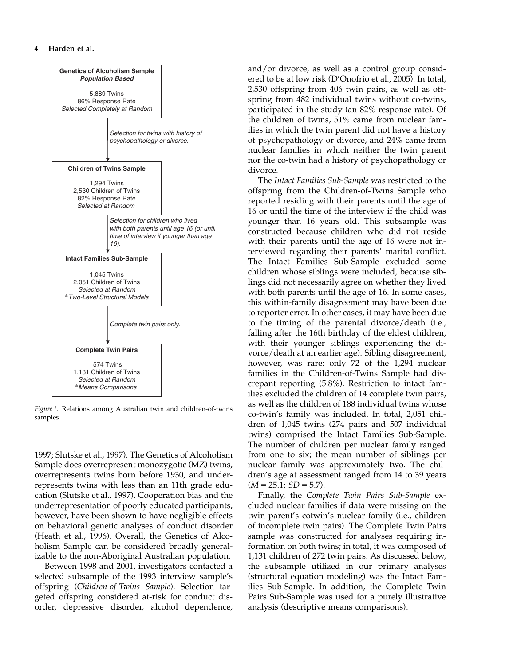

Figure 1. Relations among Australian twin and children-of-twins samples.

1997; Slutske et al., 1997). The Genetics of Alcoholism Sample does overrepresent monozygotic (MZ) twins, overrepresents twins born before 1930, and underrepresents twins with less than an 11th grade education (Slutske et al., 1997). Cooperation bias and the underrepresentation of poorly educated participants, however, have been shown to have negligible effects on behavioral genetic analyses of conduct disorder (Heath et al., 1996). Overall, the Genetics of Alcoholism Sample can be considered broadly generalizable to the non-Aboriginal Australian population.

Between 1998 and 2001, investigators contacted a selected subsample of the 1993 interview sample's offspring (Children-of-Twins Sample). Selection targeted offspring considered at-risk for conduct disorder, depressive disorder, alcohol dependence,

and/or divorce, as well as a control group considered to be at low risk (D'Onofrio et al., 2005). In total, 2,530 offspring from 406 twin pairs, as well as offspring from 482 individual twins without co-twins, participated in the study (an 82% response rate). Of the children of twins, 51% came from nuclear families in which the twin parent did not have a history of psychopathology or divorce, and 24% came from nuclear families in which neither the twin parent nor the co-twin had a history of psychopathology or divorce.

The Intact Families Sub-Sample was restricted to the offspring from the Children-of-Twins Sample who reported residing with their parents until the age of 16 or until the time of the interview if the child was younger than 16 years old. This subsample was constructed because children who did not reside with their parents until the age of 16 were not interviewed regarding their parents' marital conflict. The Intact Families Sub-Sample excluded some children whose siblings were included, because siblings did not necessarily agree on whether they lived with both parents until the age of 16. In some cases, this within-family disagreement may have been due to reporter error. In other cases, it may have been due to the timing of the parental divorce/death (i.e., falling after the 16th birthday of the eldest children, with their younger siblings experiencing the divorce/death at an earlier age). Sibling disagreement, however, was rare: only 72 of the 1,294 nuclear families in the Children-of-Twins Sample had discrepant reporting (5.8%). Restriction to intact families excluded the children of 14 complete twin pairs, as well as the children of 188 individual twins whose co-twin's family was included. In total, 2,051 children of 1,045 twins (274 pairs and 507 individual twins) comprised the Intact Families Sub-Sample. The number of children per nuclear family ranged from one to six; the mean number of siblings per nuclear family was approximately two. The children's age at assessment ranged from 14 to 39 years  $(M = 25.1; SD = 5.7).$ 

Finally, the Complete Twin Pairs Sub-Sample excluded nuclear families if data were missing on the twin parent's cotwin's nuclear family (i.e., children of incomplete twin pairs). The Complete Twin Pairs sample was constructed for analyses requiring information on both twins; in total, it was composed of 1,131 children of 272 twin pairs. As discussed below, the subsample utilized in our primary analyses (structural equation modeling) was the Intact Families Sub-Sample. In addition, the Complete Twin Pairs Sub-Sample was used for a purely illustrative analysis (descriptive means comparisons).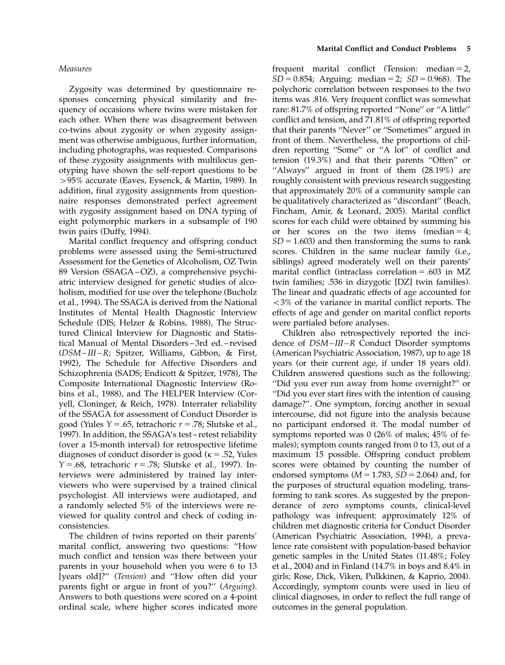## Measures

Zygosity was determined by questionnaire responses concerning physical similarity and frequency of occasions where twins were mistaken for each other. When there was disagreement between co-twins about zygosity or when zygosity assignment was otherwise ambiguous, further information, including photographs, was requested. Comparisons of these zygosity assignments with multilocus genotyping have shown the self-report questions to be 495% accurate (Eaves, Eysenck, & Martin, 1989). In addition, final zygosity assignments from questionnaire responses demonstrated perfect agreement with zygosity assignment based on DNA typing of eight polymorphic markers in a subsample of 190 twin pairs (Duffy, 1994).

Marital conflict frequency and offspring conduct problems were assessed using the Semi-structured Assessment for the Genetics of Alcoholism, OZ Twin 89 Version (SSAGA – OZ), a comprehensive psychiatric interview designed for genetic studies of alcoholism, modified for use over the telephone (Bucholz et al., 1994). The SSAGA is derived from the National Institutes of Mental Health Diagnostic Interview Schedule (DIS; Helzer & Robins, 1988), The Structured Clinical Interview for Diagnostic and Statistical Manual of Mental Disorders – 3rd ed. – revised (DSM – III – R; Spitzer, Williams, Gibbon, & First, 1992), The Schedule for Affective Disorders and Schizophrenia (SADS; Endicott & Spitzer, 1978), The Composite International Diagnostic Interview (Robins et al., 1988), and The HELPER Interview (Coryell, Cloninger, & Reich, 1978). Interrater reliability of the SSAGA for assessment of Conduct Disorder is good (Yules  $Y = .65$ , tetrachoric  $r = .78$ ; Slutske et al., 1997). In addition, the SSAGA's test – retest reliability (over a 15-month interval) for retrospective lifetime diagnoses of conduct disorder is good ( $\kappa$  = .52, Yules  $Y = .68$ , tetrachoric  $r = .78$ ; Slutske et al., 1997). Interviews were administered by trained lay interviewers who were supervised by a trained clinical psychologist. All interviews were audiotaped, and a randomly selected 5% of the interviews were reviewed for quality control and check of coding inconsistencies.

The children of twins reported on their parents' marital conflict, answering two questions: ''How much conflict and tension was there between your parents in your household when you were 6 to 13 [years old]?'' (Tension) and ''How often did your parents fight or argue in front of you?'' (Arguing). Answers to both questions were scored on a 4-point ordinal scale, where higher scores indicated more

frequent marital conflict (Tension: median  $= 2$ ,  $SD = 0.854$ ; Arguing: median = 2;  $SD = 0.968$ ). The polychoric correlation between responses to the two items was .816. Very frequent conflict was somewhat rare: 81.7% of offspring reported ''None'' or ''A little'' conflict and tension, and 71.81% of offspring reported that their parents ''Never'' or ''Sometimes'' argued in front of them. Nevertheless, the proportions of children reporting ''Some'' or ''A lot'' of conflict and tension (19.3%) and that their parents ''Often'' or ''Always'' argued in front of them (28.19%) are roughly consistent with previous research suggesting that approximately 20% of a community sample can be qualitatively characterized as ''discordant'' (Beach, Fincham, Amir, & Leonard, 2005). Marital conflict scores for each child were obtained by summing his or her scores on the two items (median  $= 4$ ;  $SD = 1.603$ ) and then transforming the sums to rank scores. Children in the same nuclear family (i.e., siblings) agreed moderately well on their parents' marital conflict (intraclass correlation  $= .603$  in MZ twin families; .536 in dizygotic [DZ] twin families). The linear and quadratic effects of age accounted for  $<3\%$  of the variance in marital conflict reports. The effects of age and gender on marital conflict reports were partialed before analyses.

Children also retrospectively reported the incidence of DSM – III –R Conduct Disorder symptoms (American Psychiatric Association, 1987), up to age 18 years (or their current age, if under 18 years old). Children answered questions such as the following: ''Did you ever run away from home overnight?'' or ''Did you ever start fires with the intention of causing damage?''. One symptom, forcing another in sexual intercourse, did not figure into the analysis because no participant endorsed it. The modal number of symptoms reported was 0 (26% of males; 45% of females); symptom counts ranged from 0 to 13, out of a maximum 15 possible. Offspring conduct problem scores were obtained by counting the number of endorsed symptoms  $(M = 1.783, SD = 2.064)$  and, for the purposes of structural equation modeling, transforming to rank scores. As suggested by the preponderance of zero symptoms counts, clinical-level pathology was infrequent: approximately 12% of children met diagnostic criteria for Conduct Disorder (American Psychiatric Association, 1994), a prevalence rate consistent with population-based behavior genetic samples in the United States (11.48%; Foley et al., 2004) and in Finland (14.7% in boys and 8.4% in girls; Rose, Dick, Viken, Pulkkinen, & Kaprio, 2004). Accordingly, symptom counts were used in lieu of clinical diagnoses, in order to reflect the full range of outcomes in the general population.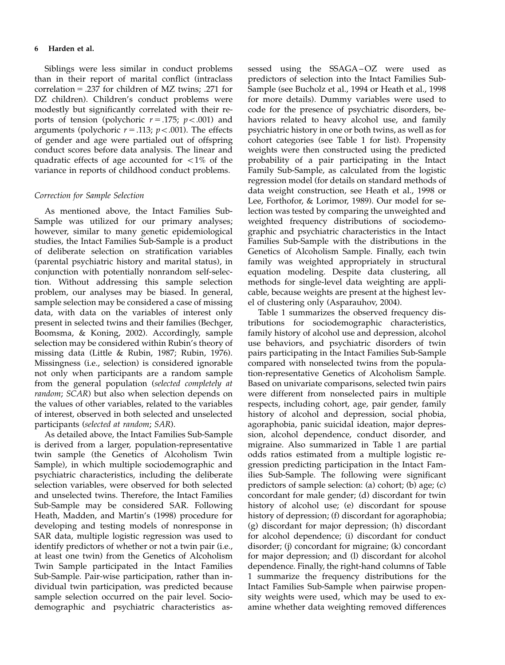Siblings were less similar in conduct problems than in their report of marital conflict (intraclass correlation  $= .237$  for children of MZ twins; .271 for DZ children). Children's conduct problems were modestly but significantly correlated with their reports of tension (polychoric  $r = .175$ ;  $p < .001$ ) and arguments (polychoric  $r = .113$ ;  $p < .001$ ). The effects of gender and age were partialed out of offspring conduct scores before data analysis. The linear and quadratic effects of age accounted for  $\langle 1\% \rangle$  of the variance in reports of childhood conduct problems.

## Correction for Sample Selection

As mentioned above, the Intact Families Sub-Sample was utilized for our primary analyses; however, similar to many genetic epidemiological studies, the Intact Families Sub-Sample is a product of deliberate selection on stratification variables (parental psychiatric history and marital status), in conjunction with potentially nonrandom self-selection. Without addressing this sample selection problem, our analyses may be biased. In general, sample selection may be considered a case of missing data, with data on the variables of interest only present in selected twins and their families (Bechger, Boomsma, & Koning, 2002). Accordingly, sample selection may be considered within Rubin's theory of missing data (Little & Rubin, 1987; Rubin, 1976). Missingness (i.e., selection) is considered ignorable not only when participants are a random sample from the general population (selected completely at random; SCAR) but also when selection depends on the values of other variables, related to the variables of interest, observed in both selected and unselected participants (selected at random; SAR).

As detailed above, the Intact Families Sub-Sample is derived from a larger, population-representative twin sample (the Genetics of Alcoholism Twin Sample), in which multiple sociodemographic and psychiatric characteristics, including the deliberate selection variables, were observed for both selected and unselected twins. Therefore, the Intact Families Sub-Sample may be considered SAR. Following Heath, Madden, and Martin's (1998) procedure for developing and testing models of nonresponse in SAR data, multiple logistic regression was used to identify predictors of whether or not a twin pair (i.e., at least one twin) from the Genetics of Alcoholism Twin Sample participated in the Intact Families Sub-Sample. Pair-wise participation, rather than individual twin participation, was predicted because sample selection occurred on the pair level. Sociodemographic and psychiatric characteristics assessed using the SSAGA-OZ were used as predictors of selection into the Intact Families Sub-Sample (see Bucholz et al., 1994 or Heath et al., 1998 for more details). Dummy variables were used to code for the presence of psychiatric disorders, behaviors related to heavy alcohol use, and family psychiatric history in one or both twins, as well as for cohort categories (see Table 1 for list). Propensity weights were then constructed using the predicted probability of a pair participating in the Intact Family Sub-Sample, as calculated from the logistic regression model (for details on standard methods of data weight construction, see Heath et al., 1998 or Lee, Forthofor, & Lorimor, 1989). Our model for selection was tested by comparing the unweighted and weighted frequency distributions of sociodemographic and psychiatric characteristics in the Intact Families Sub-Sample with the distributions in the Genetics of Alcoholism Sample. Finally, each twin family was weighted appropriately in structural equation modeling. Despite data clustering, all methods for single-level data weighting are applicable, because weights are present at the highest level of clustering only (Asparauhov, 2004).

Table 1 summarizes the observed frequency distributions for sociodemographic characteristics, family history of alcohol use and depression, alcohol use behaviors, and psychiatric disorders of twin pairs participating in the Intact Families Sub-Sample compared with nonselected twins from the population-representative Genetics of Alcoholism Sample. Based on univariate comparisons, selected twin pairs were different from nonselected pairs in multiple respects, including cohort, age, pair gender, family history of alcohol and depression, social phobia, agoraphobia, panic suicidal ideation, major depression, alcohol dependence, conduct disorder, and migraine. Also summarized in Table 1 are partial odds ratios estimated from a multiple logistic regression predicting participation in the Intact Families Sub-Sample. The following were significant predictors of sample selection: (a) cohort; (b) age; (c) concordant for male gender; (d) discordant for twin history of alcohol use; (e) discordant for spouse history of depression; (f) discordant for agoraphobia; (g) discordant for major depression; (h) discordant for alcohol dependence; (i) discordant for conduct disorder; (j) concordant for migraine; (k) concordant for major depression; and (l) discordant for alcohol dependence. Finally, the right-hand columns of Table 1 summarize the frequency distributions for the Intact Families Sub-Sample when pairwise propensity weights were used, which may be used to examine whether data weighting removed differences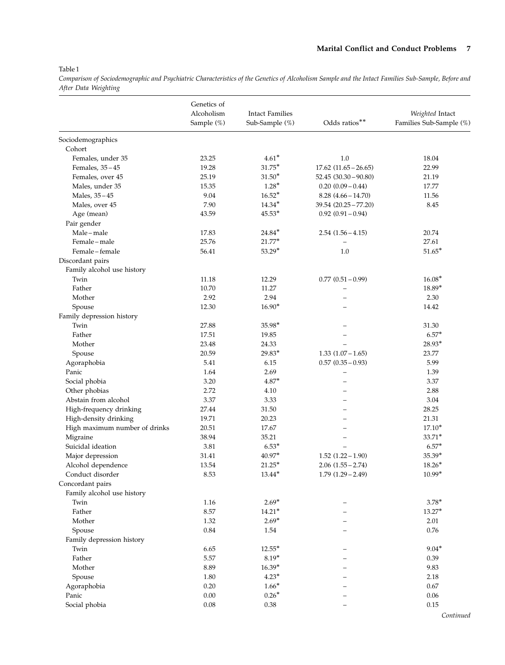### Table 1

Comparison of Sociodemographic and Psychiatric Characteristics of the Genetics of Alcoholism Sample and the Intact Families Sub-Sample, Before and After Data Weighting

|                               | Genetics of<br>Alcoholism<br>Sample (%) | <b>Intact Families</b><br>Sub-Sample (%) | Odds ratios**             | Weighted Intact<br>Families Sub-Sample (%) |
|-------------------------------|-----------------------------------------|------------------------------------------|---------------------------|--------------------------------------------|
| Sociodemographics             |                                         |                                          |                           |                                            |
| Cohort                        |                                         |                                          |                           |                                            |
| Females, under 35             | 23.25                                   | $4.61*$                                  | 1.0                       | 18.04                                      |
| Females, 35-45                | 19.28                                   | $31.75*$                                 | $17.62$ $(11.65 - 26.65)$ | 22.99                                      |
| Females, over 45              | 25.19                                   | $31.50*$                                 | $52.45(30.30 - 90.80)$    | 21.19                                      |
| Males, under 35               | 15.35                                   | $1.28*$                                  | $0.20(0.09 - 0.44)$       | 17.77                                      |
| Males, 35-45                  | 9.04                                    | $16.52*$                                 | $8.28(4.66 - 14.70)$      | 11.56                                      |
| Males, over 45                | 7.90                                    | $14.34*$                                 | 39.54 (20.25 - 77.20)     | 8.45                                       |
| Age (mean)                    | 43.59                                   | $45.53*$                                 | $0.92(0.91 - 0.94)$       |                                            |
| Pair gender                   |                                         |                                          |                           |                                            |
| Male-male                     | 17.83                                   | $24.84*$                                 | $2.54(1.56 - 4.15)$       | 20.74                                      |
| Female-male                   | 25.76                                   | $21.77*$                                 |                           | 27.61                                      |
| Female-female                 | 56.41                                   | 53.29*                                   | 1.0                       | $51.65*$                                   |
| Discordant pairs              |                                         |                                          |                           |                                            |
| Family alcohol use history    |                                         |                                          |                           |                                            |
| Twin                          | 11.18                                   | 12.29                                    | $0.77(0.51 - 0.99)$       | $16.08*$                                   |
| Father                        | 10.70                                   | 11.27                                    |                           | 18.89*                                     |
| Mother                        | 2.92                                    | 2.94                                     |                           | 2.30                                       |
| Spouse                        | 12.30                                   | $16.90*$                                 |                           | 14.42                                      |
| Family depression history     |                                         |                                          |                           |                                            |
| Twin                          | 27.88                                   | $35.98*$                                 |                           | 31.30                                      |
| Father                        | 17.51                                   | 19.85                                    |                           | $6.57*$                                    |
| Mother                        | 23.48                                   | 24.33                                    |                           | 28.93*                                     |
| Spouse                        | 20.59                                   | 29.83*                                   | $1.33(1.07-1.65)$         | 23.77                                      |
| Agoraphobia                   | 5.41                                    | 6.15                                     | $0.57(0.35-0.93)$         | 5.99                                       |
| Panic                         | 1.64                                    | 2.69                                     | $\overline{\phantom{0}}$  | 1.39                                       |
| Social phobia                 | 3.20                                    | $4.87*$                                  |                           | 3.37                                       |
| Other phobias                 | 2.72                                    | 4.10                                     |                           | 2.88                                       |
| Abstain from alcohol          | 3.37                                    | 3.33                                     |                           | 3.04                                       |
| High-frequency drinking       | 27.44                                   | 31.50                                    |                           | 28.25                                      |
| High-density drinking         | 19.71                                   | 20.23                                    | $\overline{\phantom{0}}$  | 21.31                                      |
| High maximum number of drinks | 20.51                                   | 17.67                                    |                           | $17.10*$                                   |
| Migraine                      | 38.94                                   | 35.21                                    |                           | $33.71*$                                   |
| Suicidal ideation             | 3.81                                    | $6.53*$                                  |                           | $6.57*$                                    |
| Major depression              | 31.41                                   | $40.97*$                                 | $1.52(1.22 - 1.90)$       | 35.39*                                     |
| Alcohol dependence            | 13.54                                   | $21.25*$                                 | $2.06(1.55 - 2.74)$       | $18.26*$                                   |
| Conduct disorder              | 8.53                                    | $13.44*$                                 | $1.79(1.29 - 2.49)$       | $10.99*$                                   |
| Concordant pairs              |                                         |                                          |                           |                                            |
| Family alcohol use history    |                                         |                                          |                           |                                            |
| Twin                          | 1.16                                    | $2.69*$                                  |                           | $3.78*$                                    |
| Father                        | 8.57                                    | $14.21*$                                 |                           | 13.27*                                     |
| Mother                        | 1.32                                    | $2.69*$                                  |                           | 2.01                                       |
| Spouse                        | 0.84                                    | 1.54                                     |                           | 0.76                                       |
| Family depression history     |                                         |                                          |                           |                                            |
| Twin                          | 6.65                                    | $12.55*$                                 |                           | $9.04*$                                    |
| Father                        | 5.57                                    | $8.19*$                                  |                           | 0.39                                       |
| Mother                        | 8.89                                    | $16.39*$                                 |                           | 9.83                                       |
| Spouse                        | 1.80                                    | $4.23*$                                  |                           | 2.18                                       |
| Agoraphobia                   | 0.20                                    | $1.66*$                                  |                           | 0.67                                       |
| Panic                         | 0.00                                    | $0.26*$                                  |                           | 0.06                                       |
| Social phobia                 | 0.08                                    | 0.38                                     |                           | 0.15                                       |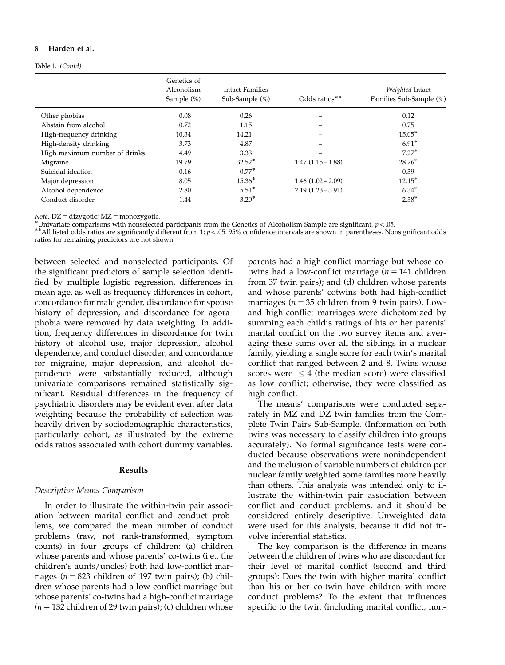Table 1. (Contd)

|                               | Genetics of<br>Alcoholism<br>Sample (%) | Intact Families<br>Sub-Sample (%) | Odds ratios**       | Weighted Intact<br>Families Sub-Sample (%) |
|-------------------------------|-----------------------------------------|-----------------------------------|---------------------|--------------------------------------------|
| Other phobias                 | 0.08                                    | 0.26                              |                     | 0.12                                       |
| Abstain from alcohol          | 0.72                                    | 1.15                              |                     | 0.75                                       |
| High-frequency drinking       | 10.34                                   | 14.21                             |                     | $15.05*$                                   |
| High-density drinking         | 3.73                                    | 4.87                              |                     | $6.91*$                                    |
| High maximum number of drinks | 4.49                                    | 3.33                              |                     | $7.27*$                                    |
| Migraine                      | 19.79                                   | $32.52*$                          | $1.47(1.15-1.88)$   | $28.26*$                                   |
| Suicidal ideation             | 0.16                                    | $0.77*$                           |                     | 0.39                                       |
| Major depression              | 8.05                                    | $15.36*$                          | $1.46(1.02-2.09)$   | $12.15*$                                   |
| Alcohol dependence            | 2.80                                    | $5.51*$                           | $2.19(1.23 - 3.91)$ | $6.34*$                                    |
| Conduct disorder              | 1.44                                    | $3.20*$                           |                     | $2.58*$                                    |

*Note.* DZ = dizygotic; MZ = monozygotic.<br>\*Univariate comparisons with nonselected participants from the Genetics of Alcoholism Sample are significant,  $p$ <.05.<br>\*\*All listed odds ratios are significantly different from 1; ratios for remaining predictors are not shown.

between selected and nonselected participants. Of the significant predictors of sample selection identified by multiple logistic regression, differences in mean age, as well as frequency differences in cohort, concordance for male gender, discordance for spouse history of depression, and discordance for agoraphobia were removed by data weighting. In addition, frequency differences in discordance for twin history of alcohol use, major depression, alcohol dependence, and conduct disorder; and concordance for migraine, major depression, and alcohol dependence were substantially reduced, although univariate comparisons remained statistically significant. Residual differences in the frequency of psychiatric disorders may be evident even after data weighting because the probability of selection was heavily driven by sociodemographic characteristics, particularly cohort, as illustrated by the extreme odds ratios associated with cohort dummy variables.

#### Results

#### Descriptive Means Comparison

In order to illustrate the within-twin pair association between marital conflict and conduct problems, we compared the mean number of conduct problems (raw, not rank-transformed, symptom counts) in four groups of children: (a) children whose parents and whose parents' co-twins (i.e., the children's aunts/uncles) both had low-conflict marriages ( $n = 823$  children of 197 twin pairs); (b) children whose parents had a low-conflict marriage but whose parents' co-twins had a high-conflict marriage  $(n = 132 \text{ children of } 29 \text{ twin pairs});$  (c) children whose

parents had a high-conflict marriage but whose cotwins had a low-conflict marriage  $(n = 141 \text{ children})$ from 37 twin pairs); and (d) children whose parents and whose parents' cotwins both had high-conflict marriages ( $n = 35$  children from 9 twin pairs). Lowand high-conflict marriages were dichotomized by summing each child's ratings of his or her parents' marital conflict on the two survey items and averaging these sums over all the siblings in a nuclear family, yielding a single score for each twin's marital conflict that ranged between 2 and 8. Twins whose scores were  $\leq 4$  (the median score) were classified as low conflict; otherwise, they were classified as high conflict.

The means' comparisons were conducted separately in MZ and DZ twin families from the Complete Twin Pairs Sub-Sample. (Information on both twins was necessary to classify children into groups accurately). No formal significance tests were conducted because observations were nonindependent and the inclusion of variable numbers of children per nuclear family weighted some families more heavily than others. This analysis was intended only to illustrate the within-twin pair association between conflict and conduct problems, and it should be considered entirely descriptive. Unweighted data were used for this analysis, because it did not involve inferential statistics.

The key comparison is the difference in means between the children of twins who are discordant for their level of marital conflict (second and third groups): Does the twin with higher marital conflict than his or her co-twin have children with more conduct problems? To the extent that influences specific to the twin (including marital conflict, non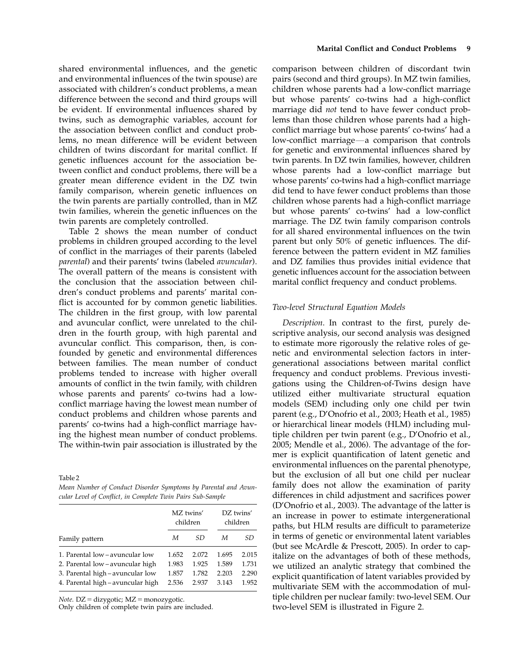shared environmental influences, and the genetic and environmental influences of the twin spouse) are associated with children's conduct problems, a mean difference between the second and third groups will be evident. If environmental influences shared by twins, such as demographic variables, account for the association between conflict and conduct problems, no mean difference will be evident between children of twins discordant for marital conflict. If genetic influences account for the association between conflict and conduct problems, there will be a greater mean difference evident in the DZ twin family comparison, wherein genetic influences on the twin parents are partially controlled, than in MZ twin families, wherein the genetic influences on the twin parents are completely controlled.

Table 2 shows the mean number of conduct problems in children grouped according to the level of conflict in the marriages of their parents (labeled parental) and their parents' twins (labeled avuncular). The overall pattern of the means is consistent with the conclusion that the association between children's conduct problems and parents' marital conflict is accounted for by common genetic liabilities. The children in the first group, with low parental and avuncular conflict, were unrelated to the children in the fourth group, with high parental and avuncular conflict. This comparison, then, is confounded by genetic and environmental differences between families. The mean number of conduct problems tended to increase with higher overall amounts of conflict in the twin family, with children whose parents and parents' co-twins had a lowconflict marriage having the lowest mean number of conduct problems and children whose parents and parents' co-twins had a high-conflict marriage having the highest mean number of conduct problems. The within-twin pair association is illustrated by the

Table 2

Mean Number of Conduct Disorder Symptoms by Parental and Avuncular Level of Conflict, in Complete Twin Pairs Sub-Sample

|                                                                                                                                              | MZ twins'<br>children            |                                  | DZ twins'<br>children            |                                  |
|----------------------------------------------------------------------------------------------------------------------------------------------|----------------------------------|----------------------------------|----------------------------------|----------------------------------|
| Family pattern                                                                                                                               | М                                | SD                               | М                                | SD                               |
| 1. Parental low – avuncular low<br>2. Parental low – avuncular high<br>3. Parental high – avuncular low<br>4. Parental high - avuncular high | 1.652<br>1.983<br>1.857<br>2.536 | 2.072<br>1.925<br>1.782<br>2.937 | 1.695<br>1.589<br>2.203<br>3.143 | 2.015<br>1.731<br>2.290<br>1.952 |

 $Note. DZ = \text{disygotic}; MZ = \text{monozygotic}.$ 

Only children of complete twin pairs are included.

comparison between children of discordant twin pairs (second and third groups). In MZ twin families, children whose parents had a low-conflict marriage but whose parents' co-twins had a high-conflict marriage did not tend to have fewer conduct problems than those children whose parents had a highconflict marriage but whose parents' co-twins' had a low-conflict marriage—a comparison that controls for genetic and environmental influences shared by twin parents. In DZ twin families, however, children whose parents had a low-conflict marriage but whose parents' co-twins had a high-conflict marriage did tend to have fewer conduct problems than those children whose parents had a high-conflict marriage but whose parents' co-twins' had a low-conflict marriage. The DZ twin family comparison controls for all shared environmental influences on the twin parent but only 50% of genetic influences. The difference between the pattern evident in MZ families and DZ families thus provides initial evidence that genetic influences account for the association between marital conflict frequency and conduct problems.

#### Two-level Structural Equation Models

Description. In contrast to the first, purely descriptive analysis, our second analysis was designed to estimate more rigorously the relative roles of genetic and environmental selection factors in intergenerational associations between marital conflict frequency and conduct problems. Previous investigations using the Children-of-Twins design have utilized either multivariate structural equation models (SEM) including only one child per twin parent (e.g., D'Onofrio et al., 2003; Heath et al., 1985) or hierarchical linear models (HLM) including multiple children per twin parent (e.g., D'Onofrio et al., 2005; Mendle et al., 2006). The advantage of the former is explicit quantification of latent genetic and environmental influences on the parental phenotype, but the exclusion of all but one child per nuclear family does not allow the examination of parity differences in child adjustment and sacrifices power (D'Onofrio et al., 2003). The advantage of the latter is an increase in power to estimate intergenerational paths, but HLM results are difficult to parameterize in terms of genetic or environmental latent variables (but see McArdle & Prescott, 2005). In order to capitalize on the advantages of both of these methods, we utilized an analytic strategy that combined the explicit quantification of latent variables provided by multivariate SEM with the accommodation of multiple children per nuclear family: two-level SEM. Our two-level SEM is illustrated in Figure 2.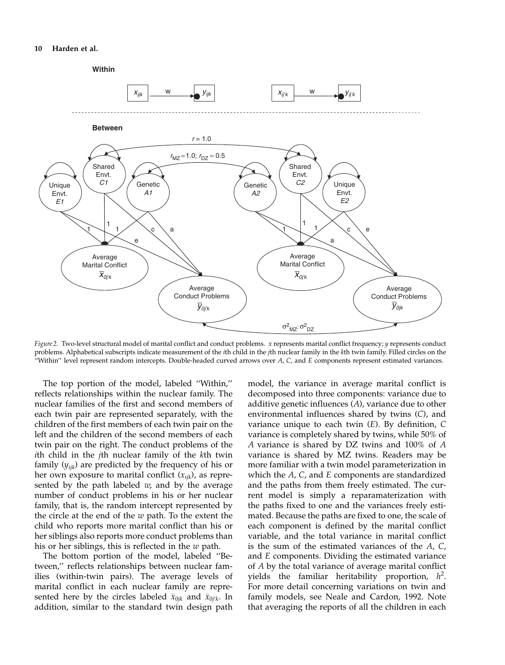

Figure 2. Two-level structural model of marital conflict and conduct problems. x represents marital conflict frequency; y represents conduct problems. Alphabetical subscripts indicate measurement of the ith child in the jth nuclear family in the kth twin family. Filled circles on the "Within" level represent random intercepts. Double-headed curved arrows over  $A$ ,  $C$ , and  $E$  components represent estimated variances.

The top portion of the model, labeled ''Within,'' reflects relationships within the nuclear family. The nuclear families of the first and second members of each twin pair are represented separately, with the children of the first members of each twin pair on the left and the children of the second members of each twin pair on the right. The conduct problems of the ith child in the jth nuclear family of the kth twin family  $(y_{ijk})$  are predicted by the frequency of his or her own exposure to marital conflict  $(x_{ijk})$ , as represented by the path labeled  $w$ , and by the average number of conduct problems in his or her nuclear family, that is, the random intercept represented by the circle at the end of the  $w$  path. To the extent the child who reports more marital conflict than his or her siblings also reports more conduct problems than his or her siblings, this is reflected in the  $w$  path.

The bottom portion of the model, labeled ''Between,'' reflects relationships between nuclear families (within-twin pairs). The average levels of marital conflict in each nuclear family are represented here by the circles labeled  $\bar{x}_{0jk}$  and  $\bar{x}_{0jk}$ . In addition, similar to the standard twin design path model, the variance in average marital conflict is decomposed into three components: variance due to additive genetic influences (A), variance due to other environmental influences shared by twins (C), and variance unique to each twin  $(E)$ . By definition, C variance is completely shared by twins, while 50% of A variance is shared by DZ twins and 100% of A variance is shared by MZ twins. Readers may be more familiar with a twin model parameterization in which the  $A$ ,  $C$ , and  $E$  components are standardized and the paths from them freely estimated. The current model is simply a reparamaterization with the paths fixed to one and the variances freely estimated. Because the paths are fixed to one, the scale of each component is defined by the marital conflict variable, and the total variance in marital conflict is the sum of the estimated variances of the  $A$ ,  $C$ , and E components. Dividing the estimated variance of A by the total variance of average marital conflict yields the familiar heritability proportion,  $h^2$ . For more detail concerning variations on twin and family models, see Neale and Cardon, 1992. Note that averaging the reports of all the children in each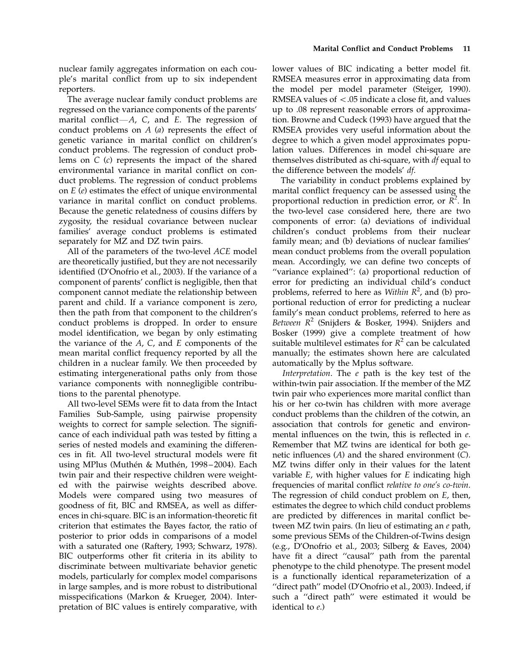nuclear family aggregates information on each couple's marital conflict from up to six independent reporters.

The average nuclear family conduct problems are regressed on the variance components of the parents' marital conflict- $A$ , C, and E. The regression of conduct problems on A (a) represents the effect of genetic variance in marital conflict on children's conduct problems. The regression of conduct problems on C (c) represents the impact of the shared environmental variance in marital conflict on conduct problems. The regression of conduct problems on  $E$  (e) estimates the effect of unique environmental variance in marital conflict on conduct problems. Because the genetic relatedness of cousins differs by zygosity, the residual covariance between nuclear families' average conduct problems is estimated separately for MZ and DZ twin pairs.

All of the parameters of the two-level ACE model are theoretically justified, but they are not necessarily identified (D'Onofrio et al., 2003). If the variance of a component of parents' conflict is negligible, then that component cannot mediate the relationship between parent and child. If a variance component is zero, then the path from that component to the children's conduct problems is dropped. In order to ensure model identification, we began by only estimating the variance of the  $A$ ,  $C$ , and  $E$  components of the mean marital conflict frequency reported by all the children in a nuclear family. We then proceeded by estimating intergenerational paths only from those variance components with nonnegligible contributions to the parental phenotype.

All two-level SEMs were fit to data from the Intact Families Sub-Sample, using pairwise propensity weights to correct for sample selection. The significance of each individual path was tested by fitting a series of nested models and examining the differences in fit. All two-level structural models were fit using MPlus (Muthén & Muthén, 1998–2004). Each twin pair and their respective children were weighted with the pairwise weights described above. Models were compared using two measures of goodness of fit, BIC and RMSEA, as well as differences in chi-square. BIC is an information-theoretic fit criterion that estimates the Bayes factor, the ratio of posterior to prior odds in comparisons of a model with a saturated one (Raftery, 1993; Schwarz, 1978). BIC outperforms other fit criteria in its ability to discriminate between multivariate behavior genetic models, particularly for complex model comparisons in large samples, and is more robust to distributional misspecifications (Markon & Krueger, 2004). Interpretation of BIC values is entirely comparative, with

lower values of BIC indicating a better model fit. RMSEA measures error in approximating data from the model per model parameter (Steiger, 1990). RMSEA values of  $<.05$  indicate a close fit, and values up to .08 represent reasonable errors of approximation. Browne and Cudeck (1993) have argued that the RMSEA provides very useful information about the degree to which a given model approximates population values. Differences in model chi-square are themselves distributed as chi-square, with df equal to the difference between the models' df.

The variability in conduct problems explained by marital conflict frequency can be assessed using the proportional reduction in prediction error, or  $\overline{R}^2$ . In the two-level case considered here, there are two components of error: (a) deviations of individual children's conduct problems from their nuclear family mean; and (b) deviations of nuclear families' mean conduct problems from the overall population mean. Accordingly, we can define two concepts of ''variance explained'': (a) proportional reduction of error for predicting an individual child's conduct problems, referred to here as Within  $R^2$ , and (b) proportional reduction of error for predicting a nuclear family's mean conduct problems, referred to here as *Between*  $R^2$  (Snijders & Bosker, 1994). Snijders and Bosker (1999) give a complete treatment of how suitable multilevel estimates for  $R^2$  can be calculated manually; the estimates shown here are calculated automatically by the Mplus software.

Interpretation. The e path is the key test of the within-twin pair association. If the member of the MZ twin pair who experiences more marital conflict than his or her co-twin has children with more average conduct problems than the children of the cotwin, an association that controls for genetic and environmental influences on the twin, this is reflected in e. Remember that MZ twins are identical for both genetic influences (A) and the shared environment (C). MZ twins differ only in their values for the latent variable E, with higher values for E indicating high frequencies of marital conflict relative to one's co-twin. The regression of child conduct problem on E, then, estimates the degree to which child conduct problems are predicted by differences in marital conflict between MZ twin pairs. (In lieu of estimating an e path, some previous SEMs of the Children-of-Twins design (e.g., D'Onofrio et al., 2003; Silberg & Eaves, 2004) have fit a direct ''causal'' path from the parental phenotype to the child phenotype. The present model is a functionally identical reparameterization of a ''direct path'' model (D'Onofrio et al., 2003). Indeed, if such a ''direct path'' were estimated it would be identical to e.)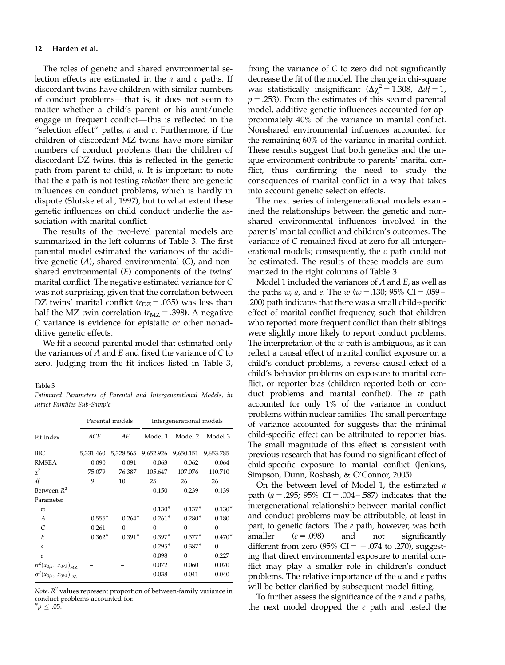The roles of genetic and shared environmental selection effects are estimated in the  $a$  and  $c$  paths. If discordant twins have children with similar numbers of conduct problems—that is, it does not seem to matter whether a child's parent or his aunt/uncle engage in frequent conflict—this is reflected in the "selection effect" paths,  $a$  and  $c$ . Furthermore, if the children of discordant MZ twins have more similar numbers of conduct problems than the children of discordant DZ twins, this is reflected in the genetic path from parent to child, a. It is important to note that the a path is not testing whether there are genetic influences on conduct problems, which is hardly in dispute (Slutske et al., 1997), but to what extent these genetic influences on child conduct underlie the association with marital conflict.

The results of the two-level parental models are summarized in the left columns of Table 3. The first parental model estimated the variances of the additive genetic (A), shared environmental (C), and nonshared environmental (E) components of the twins' marital conflict. The negative estimated variance for C was not surprising, given that the correlation between DZ twins' marital conflict ( $r_{DZ}$  = .035) was less than half the MZ twin correlation ( $r_{\text{MZ}}$  = .398). A negative C variance is evidence for epistatic or other nonadditive genetic effects.

We fit a second parental model that estimated only the variances of  $A$  and  $E$  and fixed the variance of  $C$  to zero. Judging from the fit indices listed in Table 3,

#### Table 3

Estimated Parameters of Parental and Intergenerational Models, in Intact Families Sub-Sample

|                                                       |           | Parental models | Intergenerational models |           |           |  |
|-------------------------------------------------------|-----------|-----------------|--------------------------|-----------|-----------|--|
| Fit index                                             | ACE       | AE.             | Model 1                  | Model 2   | Model 3   |  |
| BIC                                                   | 5,331.460 | 5,328.565       | 9,652.926                | 9,650.151 | 9,653.785 |  |
| <b>RMSEA</b>                                          | 0.090     | 0.091           | 0.063                    | 0.062     | 0.064     |  |
| $\chi^2$                                              | 75.079    | 76.387          | 105.647                  | 107.076   | 110.710   |  |
| df                                                    | 9         | 10              | 25                       | 26        | 26        |  |
| Between $R^2$                                         |           |                 | 0.150                    | 0.239     | 0.139     |  |
| Parameter                                             |           |                 |                          |           |           |  |
| w                                                     |           |                 | $0.130*$                 | $0.137*$  | $0.130*$  |  |
| A                                                     | $0.555*$  | $0.264*$        | $0.261*$                 | $0.280*$  | 0.180     |  |
| $\mathcal{C}$                                         | $-0.261$  | $\Omega$        | $\Omega$                 | $\Omega$  | 0         |  |
| E                                                     | $0.362*$  | $0.391*$        | $0.397*$                 | $0.377*$  | $0.470*$  |  |
| $\mathfrak a$                                         |           |                 | $0.295*$                 | $0.387*$  | 0         |  |
| $\ell$                                                |           |                 | 0.098                    | $\Omega$  | 0.227     |  |
| $\sigma^2(\bar{x}_{0jk}, \bar{x}_{0j'k})_{MZ}$        |           |                 | 0.072                    | 0.060     | 0.070     |  |
| $\sigma^2(\bar{x}_{0ik}, \bar{x}_{0j'k})_{\text{DZ}}$ |           |                 | $-0.038$                 | $-0.041$  | 0.040     |  |

Note.  $R^2$  values represent proportion of between-family variance in conduct problems accounted for.  $^*p \leq .05.$ 

fixing the variance of C to zero did not significantly decrease the fit of the model. The change in chi-square was statistically insignificant ( $\Delta \chi^2 = 1.308$ ,  $\Delta d\bar{f} = 1$ ,  $p = .253$ ). From the estimates of this second parental model, additive genetic influences accounted for approximately 40% of the variance in marital conflict. Nonshared environmental influences accounted for the remaining 60% of the variance in marital conflict. These results suggest that both genetics and the unique environment contribute to parents' marital conflict, thus confirming the need to study the consequences of marital conflict in a way that takes into account genetic selection effects.

The next series of intergenerational models examined the relationships between the genetic and nonshared environmental influences involved in the parents' marital conflict and children's outcomes. The variance of C remained fixed at zero for all intergenerational models; consequently, the  $c$  path could not be estimated. The results of these models are summarized in the right columns of Table 3.

Model 1 included the variances of A and E, as well as the paths w, a, and e. The w (w = .130; 95% CI = .059 – .200) path indicates that there was a small child-specific effect of marital conflict frequency, such that children who reported more frequent conflict than their siblings were slightly more likely to report conduct problems. The interpretation of the  $w$  path is ambiguous, as it can reflect a causal effect of marital conflict exposure on a child's conduct problems, a reverse causal effect of a child's behavior problems on exposure to marital conflict, or reporter bias (children reported both on conduct problems and marital conflict). The  $w$  path accounted for only 1% of the variance in conduct problems within nuclear families. The small percentage of variance accounted for suggests that the minimal child-specific effect can be attributed to reporter bias. The small magnitude of this effect is consistent with previous research that has found no significant effect of child-specific exposure to marital conflict (Jenkins, Simpson, Dunn, Rosbash, & O'Connor, 2005).

On the between level of Model 1, the estimated a path (*a* = .295; 95% CI = .004 – .587) indicates that the intergenerational relationship between marital conflict and conduct problems may be attributable, at least in part, to genetic factors. The e path, however, was both smaller  $(e = .098)$  and not significantly different from zero  $(95\% \text{ CI} = -.074 \text{ to } .270)$ , suggesting that direct environmental exposure to marital conflict may play a smaller role in children's conduct problems. The relative importance of the  $a$  and  $e$  paths will be better clarified by subsequent model fitting.

To further assess the significance of the  $a$  and  $e$  paths, the next model dropped the  $e$  path and tested the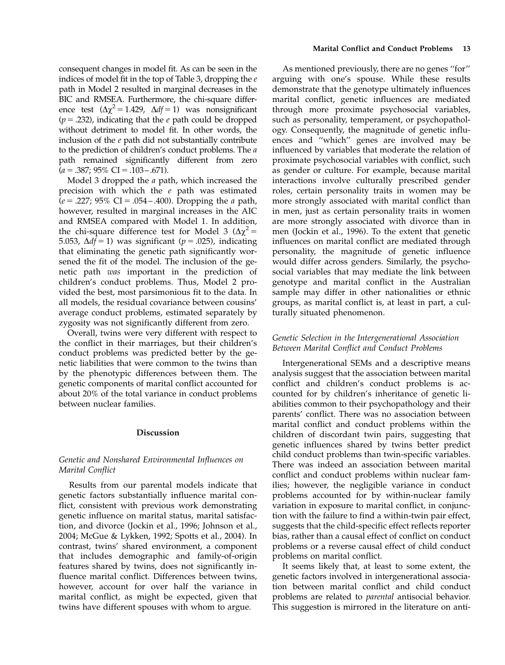consequent changes in model fit. As can be seen in the indices of model fit in the top of Table 3, dropping the  $e$ path in Model 2 resulted in marginal decreases in the BIC and RMSEA. Furthermore, the chi-square difference test  $(\Delta \chi^2 = 1.429, \Delta df = 1)$  was nonsignificant  $(p = .232)$ , indicating that the *e* path could be dropped without detriment to model fit. In other words, the inclusion of the  $e$  path did not substantially contribute to the prediction of children's conduct problems. The a path remained significantly different from zero  $(a = .387; 95\% \text{ CI} = .103 - .671).$ 

Model 3 dropped the a path, which increased the precision with which the  $e$  path was estimated  $(e = .227; 95\% \text{ CI} = .054 - .400)$ . Dropping the *a* path, however, resulted in marginal increases in the AIC and RMSEA compared with Model 1. In addition, the chi-square difference test for Model 3 ( $\Delta \chi^2$  = 5.053,  $\Delta df = 1$ ) was significant (p = .025), indicating that eliminating the genetic path significantly worsened the fit of the model. The inclusion of the genetic path was important in the prediction of children's conduct problems. Thus, Model 2 provided the best, most parsimonious fit to the data. In all models, the residual covariance between cousins' average conduct problems, estimated separately by zygosity was not significantly different from zero.

Overall, twins were very different with respect to the conflict in their marriages, but their children's conduct problems was predicted better by the genetic liabilities that were common to the twins than by the phenotypic differences between them. The genetic components of marital conflict accounted for about 20% of the total variance in conduct problems between nuclear families.

#### Discussion

## Genetic and Nonshared Environmental Influences on Marital Conflict

Results from our parental models indicate that genetic factors substantially influence marital conflict, consistent with previous work demonstrating genetic influence on marital status, marital satisfaction, and divorce (Jockin et al., 1996; Johnson et al., 2004; McGue & Lykken, 1992; Spotts et al., 2004). In contrast, twins' shared environment, a component that includes demographic and family-of-origin features shared by twins, does not significantly influence marital conflict. Differences between twins, however, account for over half the variance in marital conflict, as might be expected, given that twins have different spouses with whom to argue.

As mentioned previously, there are no genes ''for'' arguing with one's spouse. While these results demonstrate that the genotype ultimately influences marital conflict, genetic influences are mediated through more proximate psychosocial variables, such as personality, temperament, or psychopathology. Consequently, the magnitude of genetic influences and ''which'' genes are involved may be influenced by variables that moderate the relation of proximate psychosocial variables with conflict, such as gender or culture. For example, because marital interactions involve culturally prescribed gender roles, certain personality traits in women may be more strongly associated with marital conflict than in men, just as certain personality traits in women are more strongly associated with divorce than in men (Jockin et al., 1996). To the extent that genetic influences on marital conflict are mediated through personality, the magnitude of genetic influence would differ across genders. Similarly, the psychosocial variables that may mediate the link between genotype and marital conflict in the Australian sample may differ in other nationalities or ethnic groups, as marital conflict is, at least in part, a culturally situated phenomenon.

## Genetic Selection in the Intergenerational Association Between Marital Conflict and Conduct Problems

Intergenerational SEMs and a descriptive means analysis suggest that the association between marital conflict and children's conduct problems is accounted for by children's inheritance of genetic liabilities common to their psychopathology and their parents' conflict. There was no association between marital conflict and conduct problems within the children of discordant twin pairs, suggesting that genetic influences shared by twins better predict child conduct problems than twin-specific variables. There was indeed an association between marital conflict and conduct problems within nuclear families; however, the negligible variance in conduct problems accounted for by within-nuclear family variation in exposure to marital conflict, in conjunction with the failure to find a within-twin pair effect, suggests that the child-specific effect reflects reporter bias, rather than a causal effect of conflict on conduct problems or a reverse causal effect of child conduct problems on marital conflict.

It seems likely that, at least to some extent, the genetic factors involved in intergenerational association between marital conflict and child conduct problems are related to parental antisocial behavior. This suggestion is mirrored in the literature on anti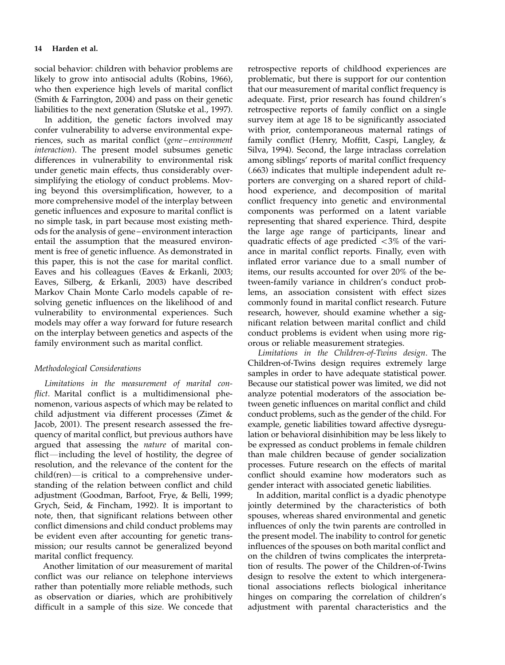social behavior: children with behavior problems are likely to grow into antisocial adults (Robins, 1966), who then experience high levels of marital conflict (Smith & Farrington, 2004) and pass on their genetic liabilities to the next generation (Slutske et al., 1997).

In addition, the genetic factors involved may confer vulnerability to adverse environmental experiences, such as marital conflict (gene-environment interaction). The present model subsumes genetic differences in vulnerability to environmental risk under genetic main effects, thus considerably oversimplifying the etiology of conduct problems. Moving beyond this oversimplification, however, to a more comprehensive model of the interplay between genetic influences and exposure to marital conflict is no simple task, in part because most existing methods for the analysis of gene – environment interaction entail the assumption that the measured environment is free of genetic influence. As demonstrated in this paper, this is not the case for marital conflict. Eaves and his colleagues (Eaves & Erkanli, 2003; Eaves, Silberg, & Erkanli, 2003) have described Markov Chain Monte Carlo models capable of resolving genetic influences on the likelihood of and vulnerability to environmental experiences. Such models may offer a way forward for future research on the interplay between genetics and aspects of the family environment such as marital conflict.

## Methodological Considerations

Limitations in the measurement of marital conflict. Marital conflict is a multidimensional phenomenon, various aspects of which may be related to child adjustment via different processes (Zimet & Jacob, 2001). The present research assessed the frequency of marital conflict, but previous authors have argued that assessing the nature of marital conflict—including the level of hostility, the degree of resolution, and the relevance of the content for the  $child$ (ren) $-$ is critical to a comprehensive understanding of the relation between conflict and child adjustment (Goodman, Barfoot, Frye, & Belli, 1999; Grych, Seid, & Fincham, 1992). It is important to note, then, that significant relations between other conflict dimensions and child conduct problems may be evident even after accounting for genetic transmission; our results cannot be generalized beyond marital conflict frequency.

Another limitation of our measurement of marital conflict was our reliance on telephone interviews rather than potentially more reliable methods, such as observation or diaries, which are prohibitively difficult in a sample of this size. We concede that

retrospective reports of childhood experiences are problematic, but there is support for our contention that our measurement of marital conflict frequency is adequate. First, prior research has found children's retrospective reports of family conflict on a single survey item at age 18 to be significantly associated with prior, contemporaneous maternal ratings of family conflict (Henry, Moffitt, Caspi, Langley, & Silva, 1994). Second, the large intraclass correlation among siblings' reports of marital conflict frequency (.663) indicates that multiple independent adult reporters are converging on a shared report of childhood experience, and decomposition of marital conflict frequency into genetic and environmental components was performed on a latent variable representing that shared experience. Third, despite the large age range of participants, linear and quadratic effects of age predicted  $\langle 3\% \rangle$  of the variance in marital conflict reports. Finally, even with inflated error variance due to a small number of items, our results accounted for over 20% of the between-family variance in children's conduct problems, an association consistent with effect sizes commonly found in marital conflict research. Future research, however, should examine whether a significant relation between marital conflict and child conduct problems is evident when using more rigorous or reliable measurement strategies.

Limitations in the Children-of-Twins design. The Children-of-Twins design requires extremely large samples in order to have adequate statistical power. Because our statistical power was limited, we did not analyze potential moderators of the association between genetic influences on marital conflict and child conduct problems, such as the gender of the child. For example, genetic liabilities toward affective dysregulation or behavioral disinhibition may be less likely to be expressed as conduct problems in female children than male children because of gender socialization processes. Future research on the effects of marital conflict should examine how moderators such as gender interact with associated genetic liabilities.

In addition, marital conflict is a dyadic phenotype jointly determined by the characteristics of both spouses, whereas shared environmental and genetic influences of only the twin parents are controlled in the present model. The inability to control for genetic influences of the spouses on both marital conflict and on the children of twins complicates the interpretation of results. The power of the Children-of-Twins design to resolve the extent to which intergenerational associations reflects biological inheritance hinges on comparing the correlation of children's adjustment with parental characteristics and the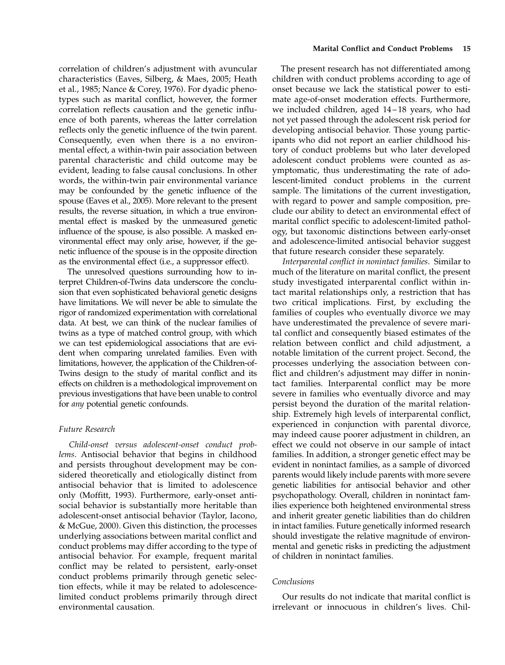correlation of children's adjustment with avuncular characteristics (Eaves, Silberg, & Maes, 2005; Heath et al., 1985; Nance & Corey, 1976). For dyadic phenotypes such as marital conflict, however, the former correlation reflects causation and the genetic influence of both parents, whereas the latter correlation reflects only the genetic influence of the twin parent. Consequently, even when there is a no environmental effect, a within-twin pair association between parental characteristic and child outcome may be evident, leading to false causal conclusions. In other words, the within-twin pair environmental variance may be confounded by the genetic influence of the spouse (Eaves et al., 2005). More relevant to the present results, the reverse situation, in which a true environmental effect is masked by the unmeasured genetic influence of the spouse, is also possible. A masked environmental effect may only arise, however, if the genetic influence of the spouse is in the opposite direction as the environmental effect (i.e., a suppressor effect).

The unresolved questions surrounding how to interpret Children-of-Twins data underscore the conclusion that even sophisticated behavioral genetic designs have limitations. We will never be able to simulate the rigor of randomized experimentation with correlational data. At best, we can think of the nuclear families of twins as a type of matched control group, with which we can test epidemiological associations that are evident when comparing unrelated families. Even with limitations, however, the application of the Children-of-Twins design to the study of marital conflict and its effects on children is a methodological improvement on previous investigations that have been unable to control for any potential genetic confounds.

#### Future Research

Child-onset versus adolescent-onset conduct problems. Antisocial behavior that begins in childhood and persists throughout development may be considered theoretically and etiologically distinct from antisocial behavior that is limited to adolescence only (Moffitt, 1993). Furthermore, early-onset antisocial behavior is substantially more heritable than adolescent-onset antisocial behavior (Taylor, Iacono, & McGue, 2000). Given this distinction, the processes underlying associations between marital conflict and conduct problems may differ according to the type of antisocial behavior. For example, frequent marital conflict may be related to persistent, early-onset conduct problems primarily through genetic selection effects, while it may be related to adolescencelimited conduct problems primarily through direct environmental causation.

The present research has not differentiated among children with conduct problems according to age of onset because we lack the statistical power to estimate age-of-onset moderation effects. Furthermore, we included children, aged 14 – 18 years, who had not yet passed through the adolescent risk period for developing antisocial behavior. Those young participants who did not report an earlier childhood history of conduct problems but who later developed adolescent conduct problems were counted as asymptomatic, thus underestimating the rate of adolescent-limited conduct problems in the current sample. The limitations of the current investigation, with regard to power and sample composition, preclude our ability to detect an environmental effect of marital conflict specific to adolescent-limited pathology, but taxonomic distinctions between early-onset and adolescence-limited antisocial behavior suggest that future research consider these separately.

Interparental conflict in nonintact families. Similar to much of the literature on marital conflict, the present study investigated interparental conflict within intact marital relationships only, a restriction that has two critical implications. First, by excluding the families of couples who eventually divorce we may have underestimated the prevalence of severe marital conflict and consequently biased estimates of the relation between conflict and child adjustment, a notable limitation of the current project. Second, the processes underlying the association between conflict and children's adjustment may differ in nonintact families. Interparental conflict may be more severe in families who eventually divorce and may persist beyond the duration of the marital relationship. Extremely high levels of interparental conflict, experienced in conjunction with parental divorce, may indeed cause poorer adjustment in children, an effect we could not observe in our sample of intact families. In addition, a stronger genetic effect may be evident in nonintact families, as a sample of divorced parents would likely include parents with more severe genetic liabilities for antisocial behavior and other psychopathology. Overall, children in nonintact families experience both heightened environmental stress and inherit greater genetic liabilities than do children in intact families. Future genetically informed research should investigate the relative magnitude of environmental and genetic risks in predicting the adjustment of children in nonintact families.

#### Conclusions

Our results do not indicate that marital conflict is irrelevant or innocuous in children's lives. Chil-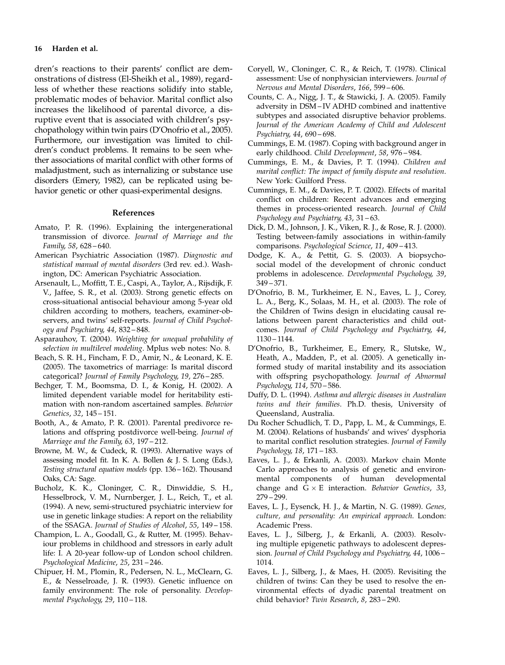dren's reactions to their parents' conflict are demonstrations of distress (El-Sheikh et al., 1989), regardless of whether these reactions solidify into stable, problematic modes of behavior. Marital conflict also increases the likelihood of parental divorce, a disruptive event that is associated with children's psychopathology within twin pairs (D'Onofrio et al., 2005). Furthermore, our investigation was limited to children's conduct problems. It remains to be seen whether associations of marital conflict with other forms of maladjustment, such as internalizing or substance use disorders (Emery, 1982), can be replicated using behavior genetic or other quasi-experimental designs.

### References

- Amato, P. R. (1996). Explaining the intergenerational transmission of divorce. Journal of Marriage and the Family, 58, 628 – 640.
- American Psychiatric Association (1987). Diagnostic and statistical manual of mental disorders (3rd rev. ed.). Washington, DC: American Psychiatric Association.
- Arsenault, L., Moffitt, T. E., Caspi, A., Taylor, A., Rijsdijk, F. V., Jaffee, S. R., et al. (2003). Strong genetic effects on cross-situational antisocial behaviour among 5-year old children according to mothers, teachers, examiner-observers, and twins' self-reports. Journal of Child Psychology and Psychiatry, 44, 832 – 848.
- Asparauhov, T. (2004). Weighting for unequal probability of selection in multilevel modeling. Mplus web notes: No. 8.
- Beach, S. R. H., Fincham, F. D., Amir, N., & Leonard, K. E. (2005). The taxometrics of marriage: Is marital discord categorical? Journal of Family Psychology, 19, 276 – 285.
- Bechger, T. M., Boomsma, D. I., & Konig, H. (2002). A limited dependent variable model for heritability estimation with non-random ascertained samples. Behavior Genetics, 32, 145 – 151.
- Booth, A., & Amato, P. R. (2001). Parental predivorce relations and offspring postdivorce well-being. Journal of Marriage and the Family, 63, 197 – 212.
- Browne, M. W., & Cudeck, R. (1993). Alternative ways of assessing model fit. In K. A. Bollen & J. S. Long (Eds.), Testing structural equation models (pp. 136 – 162). Thousand Oaks, CA: Sage.
- Bucholz, K. K., Cloninger, C. R., Dinwiddie, S. H., Hesselbrock, V. M., Nurnberger, J. L., Reich, T., et al. (1994). A new, semi-structured psychiatric interview for use in genetic linkage studies: A report on the reliability of the SSAGA. Journal of Studies of Alcohol, 55, 149 – 158.
- Champion, L. A., Goodall, G., & Rutter, M. (1995). Behaviour problems in childhood and stressors in early adult life: I. A 20-year follow-up of London school children. Psychological Medicine, 25, 231 – 246.
- Chipuer, H. M., Plomin, R., Pedersen, N. L., McClearn, G. E., & Nesselroade, J. R. (1993). Genetic influence on family environment: The role of personality. Developmental Psychology, 29, 110-118.
- Coryell, W., Cloninger, C. R., & Reich, T. (1978). Clinical assessment: Use of nonphysician interviewers. Journal of Nervous and Mental Disorders, 166, 599 – 606.
- Counts, C. A., Nigg, J. T., & Stawicki, J. A. (2005). Family adversity in DSM – IV ADHD combined and inattentive subtypes and associated disruptive behavior problems. Journal of the American Academy of Child and Adolescent Psychiatry, 44, 690 – 698.
- Cummings, E. M. (1987). Coping with background anger in early childhood. Child Development, 58, 976-984.
- Cummings, E. M., & Davies, P. T. (1994). Children and marital conflict: The impact of family dispute and resolution. New York: Guilford Press.
- Cummings, E. M., & Davies, P. T. (2002). Effects of marital conflict on children: Recent advances and emerging themes in process-oriented research. Journal of Child Psychology and Psychiatry, 43, 31-63.
- Dick, D. M., Johnson, J. K., Viken, R. J., & Rose, R. J. (2000). Testing between-family associations in within-family comparisons. Psychological Science, 11, 409 – 413.
- Dodge, K. A., & Pettit, G. S. (2003). A biopsychosocial model of the development of chronic conduct problems in adolescence. Developmental Psychology, 39, 349 – 371.
- D'Onofrio, B. M., Turkheimer, E. N., Eaves, L. J., Corey, L. A., Berg, K., Solaas, M. H., et al. (2003). The role of the Children of Twins design in elucidating causal relations between parent characteristics and child outcomes. Journal of Child Psychology and Psychiatry, 44, 1130 – 1144.
- D'Onofrio, B., Turkheimer, E., Emery, R., Slutske, W., Heath, A., Madden, P., et al. (2005). A genetically informed study of marital instability and its association with offspring psychopathology. Journal of Abnormal Psychology, 114, 570 – 586.
- Duffy, D. L. (1994). Asthma and allergic diseases in Australian twins and their families. Ph.D. thesis, University of Queensland, Australia.
- Du Rocher Schudlich, T. D., Papp, L. M., & Cummings, E. M. (2004). Relations of husbands' and wives' dysphoria to marital conflict resolution strategies. Journal of Family Psychology, 18, 171 – 183.
- Eaves, L. J., & Erkanli, A. (2003). Markov chain Monte Carlo approaches to analysis of genetic and environmental components of human developmental change and  $G \times E$  interaction. Behavior Genetics, 33, 279 – 299.
- Eaves, L. J., Eysenck, H. J., & Martin, N. G. (1989). Genes, culture, and personality: An empirical approach. London: Academic Press.
- Eaves, L. J., Silberg, J., & Erkanli, A. (2003). Resolving multiple epigenetic pathways to adolescent depression. Journal of Child Psychology and Psychiatry, 44, 1006 – 1014.
- Eaves, L. J., Silberg, J., & Maes, H. (2005). Revisiting the children of twins: Can they be used to resolve the environmental effects of dyadic parental treatment on child behavior? Twin Research, 8, 283 – 290.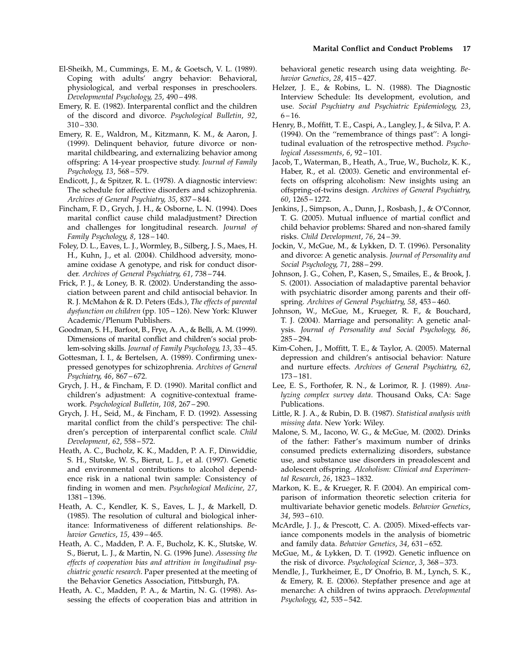- El-Sheikh, M., Cummings, E. M., & Goetsch, V. L. (1989). Coping with adults' angry behavior: Behavioral, physiological, and verbal responses in preschoolers. Developmental Psychology, 25, 490 – 498.
- Emery, R. E. (1982). Interparental conflict and the children of the discord and divorce. Psychological Bulletin, 92,  $310 - 330.$
- Emery, R. E., Waldron, M., Kitzmann, K. M., & Aaron, J. (1999). Delinquent behavior, future divorce or nonmarital childbearing, and externalizing behavior among offspring: A 14-year prospective study. Journal of Family Psychology, 13, 568 – 579.
- Endicott, J., & Spitzer, R. L. (1978). A diagnostic interview: The schedule for affective disorders and schizophrenia. Archives of General Psychiatry, 35, 837 – 844.
- Fincham, F. D., Grych, J. H., & Osborne, L. N. (1994). Does marital conflict cause child maladjustment? Direction and challenges for longitudinal research. Journal of Family Psychology, 8, 128 – 140.
- Foley, D. L., Eaves, L. J., Wormley, B., Silberg, J. S., Maes, H. H., Kuhn, J., et al. (2004). Childhood adversity, monoamine oxidase A genotype, and risk for conduct disorder. Archives of General Psychiatry, 61, 738 – 744.
- Frick, P. J., & Loney, B. R. (2002). Understanding the association between parent and child antisocial behavior. In R. J. McMahon & R. D. Peters (Eds.), The effects of parental dysfunction on children (pp. 105 – 126). New York: Kluwer Academic/Plenum Publishers.
- Goodman, S. H., Barfoot, B., Frye, A. A., & Belli, A. M. (1999). Dimensions of marital conflict and children's social problem-solving skills. Journal of Family Psychology, 13, 33 – 45.
- Gottesman, I. I., & Bertelsen, A. (1989). Confirming unexpressed genotypes for schizophrenia. Archives of General Psychiatry, 46, 867 – 672.
- Grych, J. H., & Fincham, F. D. (1990). Marital conflict and children's adjustment: A cognitive-contextual framework. Psychological Bulletin, 108, 267 – 290.
- Grych, J. H., Seid, M., & Fincham, F. D. (1992). Assessing marital conflict from the child's perspective: The children's perception of interparental conflict scale. Child Development, 62, 558 – 572.
- Heath, A. C., Bucholz, K. K., Madden, P. A. F., Dinwiddie, S. H., Slutske, W. S., Bierut, L. J., et al. (1997). Genetic and environmental contributions to alcohol dependence risk in a national twin sample: Consistency of finding in women and men. Psychological Medicine, 27, 1381 – 1396.
- Heath, A. C., Kendler, K. S., Eaves, L. J., & Markell, D. (1985). The resolution of cultural and biological inheritance: Informativeness of different relationships. Behavior Genetics, 15, 439-465.
- Heath, A. C., Madden, P. A. F., Bucholz, K. K., Slutske, W. S., Bierut, L. J., & Martin, N. G. (1996 June). Assessing the effects of cooperation bias and attrition in longitudinal psychiatric genetic research. Paper presented at the meeting of the Behavior Genetics Association, Pittsburgh, PA.
- Heath, A. C., Madden, P. A., & Martin, N. G. (1998). Assessing the effects of cooperation bias and attrition in

behavioral genetic research using data weighting. Behavior Genetics, 28, 415 – 427.

- Helzer, J. E., & Robins, L. N. (1988). The Diagnostic Interview Schedule: Its development, evolution, and use. Social Psychiatry and Psychiatric Epidemiology, 23,  $6 - 16.$
- Henry, B., Moffitt, T. E., Caspi, A., Langley, J., & Silva, P. A. (1994). On the ''remembrance of things past'': A longitudinal evaluation of the retrospective method. Psychological Assessments, 6, 92 – 101.
- Jacob, T., Waterman, B., Heath, A., True, W., Bucholz, K. K., Haber, R., et al. (2003). Genetic and environmental effects on offspring alcoholism: New insights using an offspring-of-twins design. Archives of General Psychiatry, 60, 1265 – 1272.
- Jenkins, J., Simpson, A., Dunn, J., Rosbash, J., & O'Connor, T. G. (2005). Mutual influence of martial conflict and child behavior problems: Shared and non-shared family risks. Child Development, 76, 24 – 39.
- Jockin, V., McGue, M., & Lykken, D. T. (1996). Personality and divorce: A genetic analysis. Journal of Personality and Social Psychology, 71, 288-299.
- Johnson, J. G., Cohen, P., Kasen, S., Smailes, E., & Brook, J. S. (2001). Association of maladaptive parental behavior with psychiatric disorder among parents and their offspring. Archives of General Psychiatry, 58, 453 – 460.
- Johnson, W., McGue, M., Krueger, R. F., & Bouchard, T. J. (2004). Marriage and personality: A genetic analysis. Journal of Personality and Social Psychology, 86, 285 – 294.
- Kim-Cohen, J., Moffitt, T. E., & Taylor, A. (2005). Maternal depression and children's antisocial behavior: Nature and nurture effects. Archives of General Psychiatry, 62, 173 – 181.
- Lee, E. S., Forthofer, R. N., & Lorimor, R. J. (1989). Analyzing complex survey data. Thousand Oaks, CA: Sage Publications.
- Little, R. J. A., & Rubin, D. B. (1987). Statistical analysis with missing data. New York: Wiley.
- Malone, S. M., Iacono, W. G., & McGue, M. (2002). Drinks of the father: Father's maximum number of drinks consumed predicts externalizing disorders, substance use, and substance use disorders in preadolescent and adolescent offspring. Alcoholism: Clinical and Experimental Research, 26, 1823 – 1832.
- Markon, K. E., & Krueger, R. F. (2004). An empirical comparison of information theoretic selection criteria for multivariate behavior genetic models. Behavior Genetics, 34, 593 – 610.
- McArdle, J. J., & Prescott, C. A. (2005). Mixed-effects variance components models in the analysis of biometric and family data. Behavior Genetics, 34, 631 – 652.
- McGue, M., & Lykken, D. T. (1992). Genetic influence on the risk of divorce. Psychological Science, 3, 368 – 373.
- Mendle, J., Turkheimer, E., D' Onofrio, B. M., Lynch, S. K., & Emery, R. E. (2006). Stepfather presence and age at menarche: A children of twins appraoch. Developmental Psychology, 42, 535 – 542.